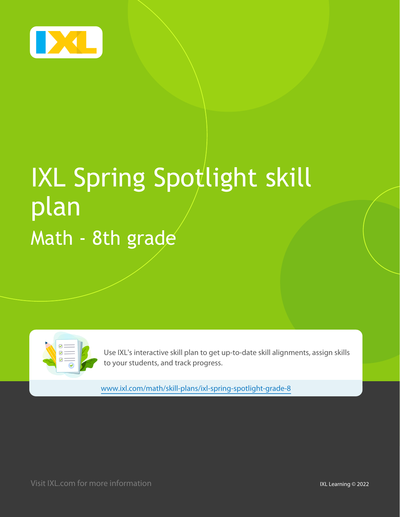

# IXL Spring Spotlight skill plan Math - 8th grade



Use IXL's interactive skill plan to get up-to-date skill alignments, assign skills to your students, and track progress.

[www.ixl.com/math/skill-plans/ixl-spring-spotlight-grade-8](https://www.ixl.com/math/skill-plans/ixl-spring-spotlight-grade-8)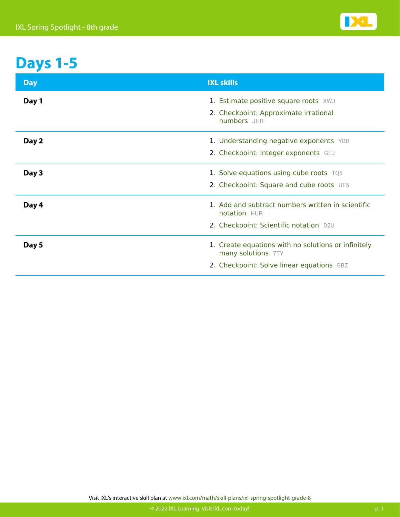

### **Days 1-5**

| <b>Day</b> | <b>IXL skills</b>                                                                                                      |
|------------|------------------------------------------------------------------------------------------------------------------------|
| Day 1      | 1. Estimate positive square roots XWJ<br>2. Checkpoint: Approximate irrational<br>numbers JHR                          |
| Day 2      | 1. Understanding negative exponents YBB<br>2. Checkpoint: Integer exponents GEJ                                        |
| Day 3      | 1. Solve equations using cube roots TQ5<br>2. Checkpoint: Square and cube roots UF5                                    |
| Day 4      | 1. Add and subtract numbers written in scientific<br>notation HUR<br>2. Checkpoint: Scientific notation D2U            |
| Day 5      | 1. Create equations with no solutions or infinitely<br>many solutions 7TY<br>2. Checkpoint: Solve linear equations BBZ |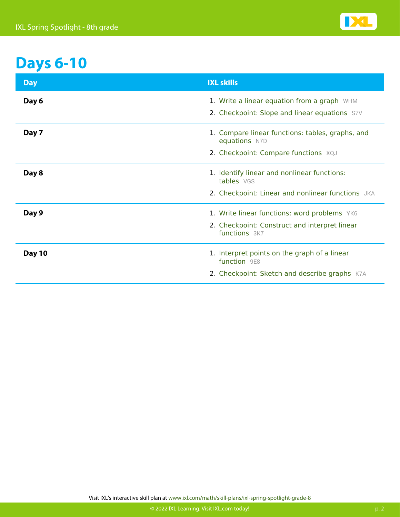

### **Days 6-10**

| <b>Day</b>    | <b>IXL skills</b>                                                                            |
|---------------|----------------------------------------------------------------------------------------------|
| Day 6         | 1. Write a linear equation from a graph WHM<br>2. Checkpoint: Slope and linear equations S7V |
| Day 7         | 1. Compare linear functions: tables, graphs, and<br>equations N7D                            |
|               | 2. Checkpoint: Compare functions XQJ                                                         |
| Day 8         | 1. Identify linear and nonlinear functions:<br>tables VGS                                    |
|               | 2. Checkpoint: Linear and nonlinear functions JKA                                            |
| Day 9         | 1. Write linear functions: word problems YK6                                                 |
|               | 2. Checkpoint: Construct and interpret linear<br>functions 3K7                               |
| <b>Day 10</b> | 1. Interpret points on the graph of a linear<br>function 9E8                                 |
|               | 2. Checkpoint: Sketch and describe graphs K7A                                                |

Visit IXL's interactive skill plan at [www.ixl.com/math/skill-plans/ixl-spring-spotlight-grade-8](https://www.ixl.com/math/skill-plans/ixl-spring-spotlight-grade-8)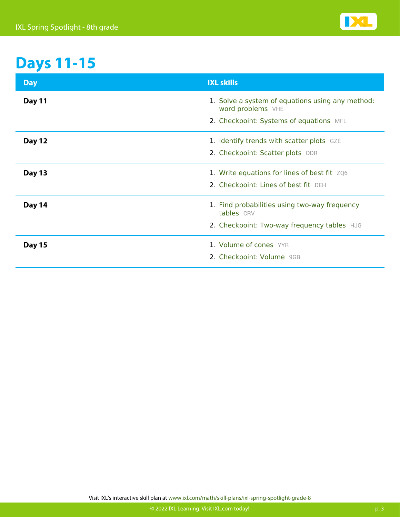

## **Days 11-15**

| <b>Day</b>    | <b>IXL skills</b>                                                                                                |
|---------------|------------------------------------------------------------------------------------------------------------------|
| <b>Day 11</b> | 1. Solve a system of equations using any method:<br>word problems VHE<br>2. Checkpoint: Systems of equations MFL |
| <b>Day 12</b> | 1. Identify trends with scatter plots GZE<br>2. Checkpoint: Scatter plots DDR                                    |
| <b>Day 13</b> | 1. Write equations for lines of best fit ZQ6<br>2. Checkpoint: Lines of best fit DEH                             |
| Day 14        | 1. Find probabilities using two-way frequency<br>tables CRV<br>2. Checkpoint: Two-way frequency tables HJG       |
| <b>Day 15</b> | 1. Volume of cones YYR<br>2. Checkpoint: Volume 9GB                                                              |